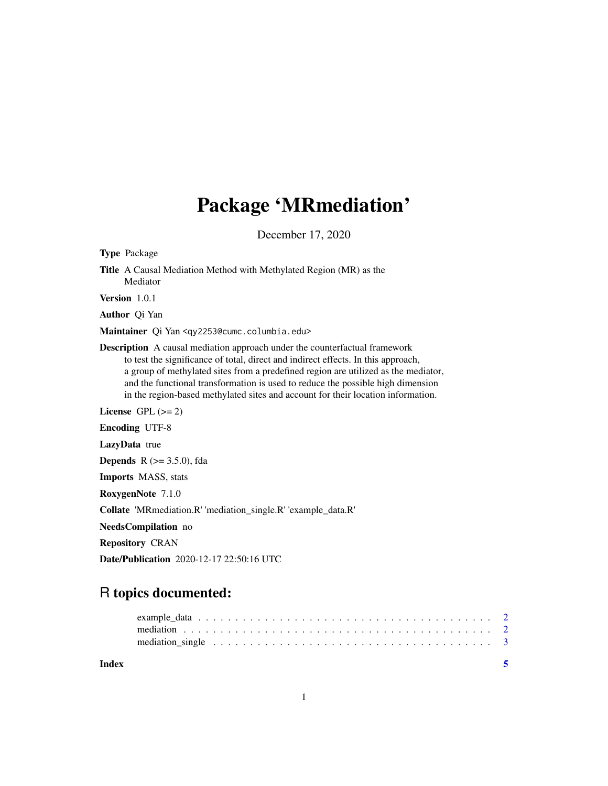## Package 'MRmediation'

December 17, 2020

| <b>Type Package</b>                                                                                                                                                                                                                                                                                                                                                                                                                 |  |  |
|-------------------------------------------------------------------------------------------------------------------------------------------------------------------------------------------------------------------------------------------------------------------------------------------------------------------------------------------------------------------------------------------------------------------------------------|--|--|
| <b>Title</b> A Causal Mediation Method with Methylated Region (MR) as the<br>Mediator                                                                                                                                                                                                                                                                                                                                               |  |  |
| Version $1.0.1$                                                                                                                                                                                                                                                                                                                                                                                                                     |  |  |
| <b>Author</b> Qi Yan                                                                                                                                                                                                                                                                                                                                                                                                                |  |  |
| Maintainer Qi Yan <qy2253@cumc.columbia.edu></qy2253@cumc.columbia.edu>                                                                                                                                                                                                                                                                                                                                                             |  |  |
| <b>Description</b> A causal mediation approach under the counterfactual framework<br>to test the significance of total, direct and indirect effects. In this approach,<br>a group of methylated sites from a predefined region are utilized as the mediator,<br>and the functional transformation is used to reduce the possible high dimension<br>in the region-based methylated sites and account for their location information. |  |  |
| License $GPL (= 2)$                                                                                                                                                                                                                                                                                                                                                                                                                 |  |  |
| <b>Encoding UTF-8</b>                                                                                                                                                                                                                                                                                                                                                                                                               |  |  |
| <b>LazyData</b> true                                                                                                                                                                                                                                                                                                                                                                                                                |  |  |
| <b>Depends</b> $R$ ( $> = 3.5.0$ ), fda                                                                                                                                                                                                                                                                                                                                                                                             |  |  |
| <b>Imports MASS</b> , stats                                                                                                                                                                                                                                                                                                                                                                                                         |  |  |
| RoxygenNote 7.1.0                                                                                                                                                                                                                                                                                                                                                                                                                   |  |  |
| Collate 'MRmediation.R' 'mediation_single.R' 'example_data.R'                                                                                                                                                                                                                                                                                                                                                                       |  |  |
| NeedsCompilation no                                                                                                                                                                                                                                                                                                                                                                                                                 |  |  |
| <b>Repository CRAN</b>                                                                                                                                                                                                                                                                                                                                                                                                              |  |  |
| <b>Date/Publication</b> 2020-12-17 22:50:16 UTC                                                                                                                                                                                                                                                                                                                                                                                     |  |  |

### R topics documented:

| Index |  |
|-------|--|
|       |  |
|       |  |
|       |  |

1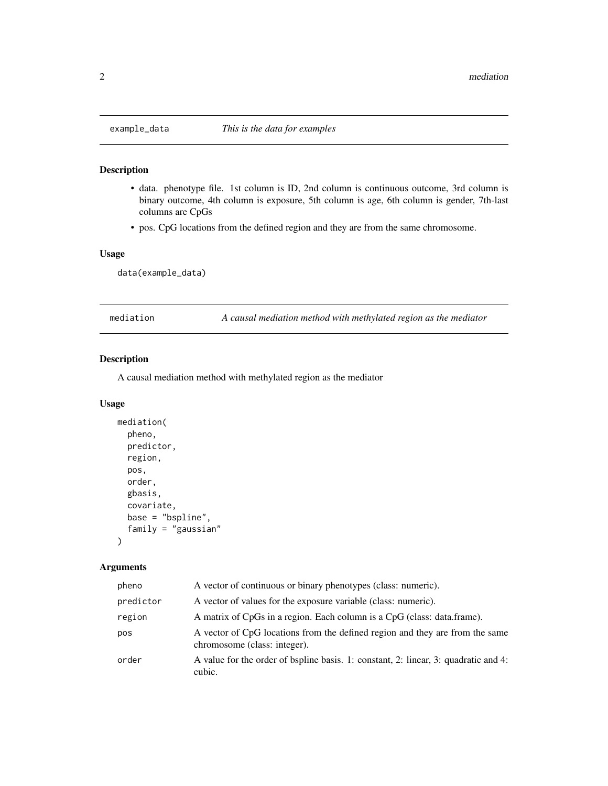<span id="page-1-0"></span>

#### Description

- data. phenotype file. 1st column is ID, 2nd column is continuous outcome, 3rd column is binary outcome, 4th column is exposure, 5th column is age, 6th column is gender, 7th-last columns are CpGs
- pos. CpG locations from the defined region and they are from the same chromosome.

#### Usage

data(example\_data)

mediation *A causal mediation method with methylated region as the mediator*

#### Description

A causal mediation method with methylated region as the mediator

#### Usage

```
mediation(
  pheno,
  predictor,
  region,
 pos,
  order,
  gbasis,
  covariate,
  base = "bspline",
  family = "gaussian"
)
```
#### Arguments

| pheno     | A vector of continuous or binary phenotypes (class: numeric).                                                |
|-----------|--------------------------------------------------------------------------------------------------------------|
| predictor | A vector of values for the exposure variable (class: numeric).                                               |
| region    | A matrix of CpGs in a region. Each column is a CpG (class: data.frame).                                      |
| pos       | A vector of CpG locations from the defined region and they are from the same<br>chromosome (class: integer). |
| order     | A value for the order of bspline basis. 1: constant, 2: linear, 3: quadratic and 4:<br>cubic.                |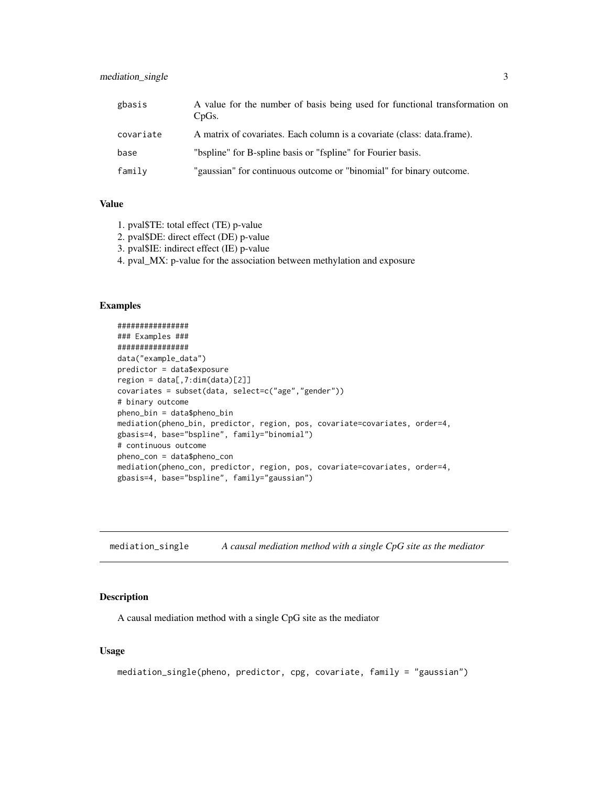#### <span id="page-2-0"></span>mediation\_single 3

| gbasis    | A value for the number of basis being used for functional transformation on<br>CpGs. |
|-----------|--------------------------------------------------------------------------------------|
| covariate | A matrix of covariates. Each column is a covariate (class: data.frame).              |
| base      | "bspline" for B-spline basis or "fspline" for Fourier basis.                         |
| family    | "gaussian" for continuous outcome or "binomial" for binary outcome.                  |

#### Value

- 1. pval\$TE: total effect (TE) p-value
- 2. pval\$DE: direct effect (DE) p-value
- 3. pval\$IE: indirect effect (IE) p-value
- 4. pval\_MX: p-value for the association between methylation and exposure

#### Examples

```
################
### Examples ###
################
data("example_data")
predictor = data$exposure
region = data[, 7:dim(data)[2]]covariates = subset(data, select=c("age","gender"))
# binary outcome
pheno_bin = data$pheno_bin
mediation(pheno_bin, predictor, region, pos, covariate=covariates, order=4,
gbasis=4, base="bspline", family="binomial")
# continuous outcome
pheno_con = data$pheno_con
mediation(pheno_con, predictor, region, pos, covariate=covariates, order=4,
gbasis=4, base="bspline", family="gaussian")
```
mediation\_single *A causal mediation method with a single CpG site as the mediator*

#### Description

A causal mediation method with a single CpG site as the mediator

#### Usage

```
mediation_single(pheno, predictor, cpg, covariate, family = "gaussian")
```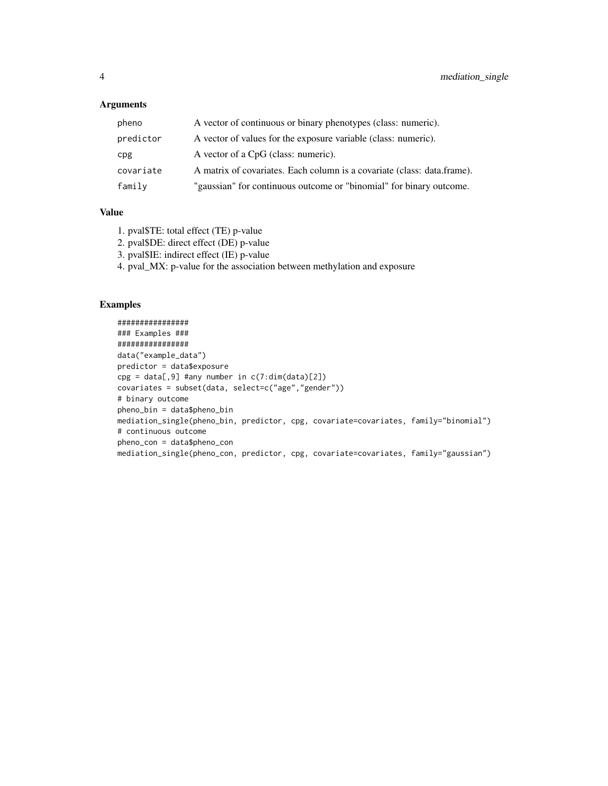#### Arguments

| pheno     | A vector of continuous or binary phenotypes (class: numeric).           |
|-----------|-------------------------------------------------------------------------|
| predictor | A vector of values for the exposure variable (class: numeric).          |
| cpg       | A vector of a CpG (class: numeric).                                     |
| covariate | A matrix of covariates. Each column is a covariate (class: data.frame). |
| family    | "gaussian" for continuous outcome or "binomial" for binary outcome.     |

#### Value

- 1. pval\$TE: total effect (TE) p-value
- 2. pval\$DE: direct effect (DE) p-value
- 3. pval\$IE: indirect effect (IE) p-value
- 4. pval\_MX: p-value for the association between methylation and exposure

#### Examples

```
################
### Examples ###
################
data("example_data")
predictor = data$exposure
cpg = data[, 9] #any number in c(7:dim(data)[2])covariates = subset(data, select=c("age","gender"))
# binary outcome
pheno_bin = data$pheno_bin
mediation_single(pheno_bin, predictor, cpg, covariate=covariates, family="binomial")
# continuous outcome
pheno_con = data$pheno_con
mediation_single(pheno_con, predictor, cpg, covariate=covariates, family="gaussian")
```